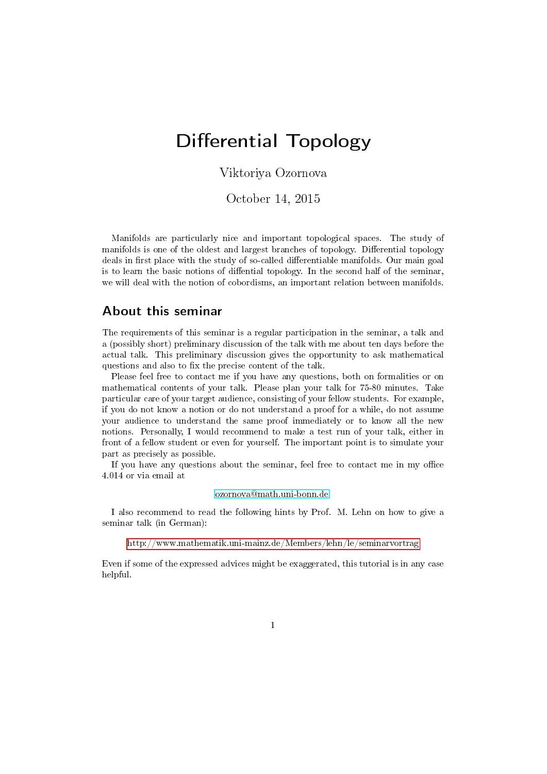# Differential Topology

Viktoriya Ozornova

October 14, 2015

Manifolds are particularly nice and important topological spaces. The study of manifolds is one of the oldest and largest branches of topology. Differential topology deals in first place with the study of so-called differentiable manifolds. Our main goal is to learn the basic notions of diffential topology. In the second half of the seminar, we will deal with the notion of cobordisms, an important relation between manifolds.

#### About this seminar

The requirements of this seminar is a regular participation in the seminar, a talk and a (possibly short) preliminary discussion of the talk with me about ten days before the actual talk. This preliminary discussion gives the opportunity to ask mathematical questions and also to fix the precise content of the talk.

Please feel free to contact me if you have any questions, both on formalities or on mathematical contents of your talk. Please plan your talk for 75-80 minutes. Take particular care of your target audience, consisting of your fellow students. For example, if you do not know a notion or do not understand a proof for a while, do not assume your audience to understand the same proof immediately or to know all the new notions. Personally, I would recommend to make a test run of your talk, either in front of a fellow student or even for yourself. The important point is to simulate your part as precisely as possible.

If you have any questions about the seminar, feel free to contact me in my office 4.014 or via email at

#### [ozornova@math.uni-bonn.de.](ozornova@math.uni-bonn.de)

I also recommend to read the following hints by Prof. M. Lehn on how to give a seminar talk (in German):

http://www.mathematik.uni-mainz.de/Members/lehn/le/seminarvortrag

Even if some of the expressed advices might be exaggerated, this tutorial is in any case helpful.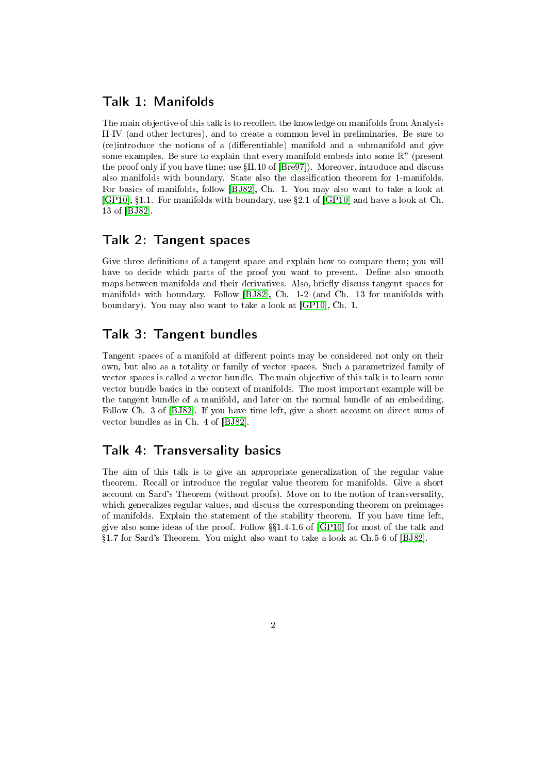# Talk 1: Manifolds

The main objective of this talk is to recollect the knowledge on manifolds from Analysis II-IV (and other lectures), and to create a common level in preliminaries. Be sure to (re)introduce the notions of a (differentiable) manifold and a submanifold and give some examples. Be sure to explain that every manifold embeds into some  $\mathbb{R}^n$  (present the proof only if you have time; use  $\{II.10 \text{ of } [B_{re}97]\}$ . Moreover, introduce and discuss also manifolds with boundary. State also the classification theorem for 1-manifolds. For basics of manifolds, follow [\[BJ82\]](#page-3-1), Ch. 1. You may also want to take a look at  $[GP10], §1.1.$  $[GP10], §1.1.$  For manifolds with boundary, use §2.1 of  $[GP10]$  and have a look at Ch. 13 of [\[BJ82\]](#page-3-1).

# Talk 2: Tangent spaces

Give three definitions of a tangent space and explain how to compare them; you will have to decide which parts of the proof you want to present. Define also smooth maps between manifolds and their derivatives. Also, briefly discuss tangent spaces for manifolds with boundary. Follow [\[BJ82\]](#page-3-1), Ch. 1-2 (and Ch. 13 for manifolds with boundary). You may also want to take a look at [\[GP10\]](#page-3-2), Ch. 1.

### Talk 3: Tangent bundles

Tangent spaces of a manifold at different points may be considered not only on their own, but also as a totality or family of vector spaces. Such a parametrized family of vector spaces is called a vector bundle. The main objective of this talk is to learn some vector bundle basics in the context of manifolds. The most important example will be the tangent bundle of a manifold, and later on the normal bundle of an embedding. Follow Ch. 3 of [\[BJ82\]](#page-3-1). If you have time left, give a short account on direct sums of vector bundles as in Ch. 4 of [\[BJ82\]](#page-3-1).

# Talk 4: Transversality basics

The aim of this talk is to give an appropriate generalization of the regular value theorem. Recall or introduce the regular value theorem for manifolds. Give a short account on Sard's Theorem (without proofs). Move on to the notion of transversality, which generalizes regular values, and discuss the corresponding theorem on preimages of manifolds. Explain the statement of the stability theorem. If you have time left, give also some ideas of the proof. Follow §§1.4-1.6 of [\[GP10\]](#page-3-2) for most of the talk and 1.7 for Sard's Theorem. You might also want to take a look at Ch.5-6 of [\[BJ82\]](#page-3-1).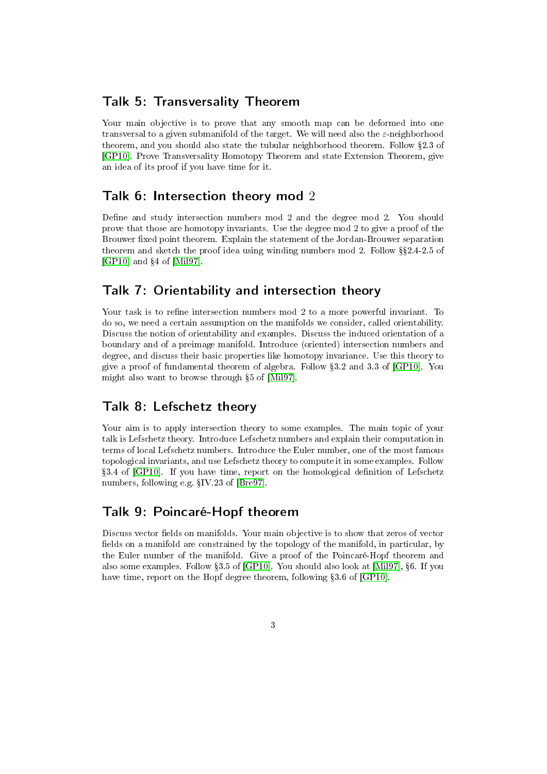#### Talk 5: Transversality Theorem

Your main objective is to prove that any smooth map can be deformed into one transversal to a given submanifold of the target. We will need also the  $\varepsilon$ -neighborhood theorem, and you should also state the tubular neighborhood theorem. Follow §2.3 of [\[GP10\]](#page-3-2). Prove Transversality Homotopy Theorem and state Extension Theorem, give an idea of its proof if you have time for it.

#### Talk 6: Intersection theory mod 2

Define and study intersection numbers mod 2 and the degree mod 2. You should prove that those are homotopy invariants. Use the degree mod 2 to give a proof of the Brouwer fixed point theorem. Explain the statement of the Jordan-Brouwer separation theorem and sketch the proof idea using winding numbers mod 2. Follow  $\S2.4$ -2.5 of [\[GP10\]](#page-3-2) and  $\S 4$  of [\[Mil97\]](#page-3-3).

#### Talk 7: Orientability and intersection theory

Your task is to refine intersection numbers mod 2 to a more powerful invariant. To do so, we need a certain assumption on the manifolds we consider, called orientability. Discuss the notion of orientability and examples. Discuss the induced orientation of a boundary and of a preimage manifold. Introduce (oriented) intersection numbers and degree, and discuss their basic properties like homotopy invariance. Use this theory to give a proof of fundamental theorem of algebra. Follow 3.2 and 3.3 of [\[GP10\]](#page-3-2). You might also want to browse through 5 of [\[Mil97\]](#page-3-3).

#### Talk 8: Lefschetz theory

Your aim is to apply intersection theory to some examples. The main topic of your talk is Lefschetz theory. Introduce Lefschetz numbers and explain their computation in terms of local Lefschetz numbers. Introduce the Euler number, one of the most famous topological invariants, and use Lefschetz theory to compute it in some examples. Follow 3.4 of [\[GP10\]](#page-3-2). If you have time, report on the homological denition of Lefschetz numbers, following e.g.  $\S$ IV.23 of [\[Bre97\]](#page-3-0).

# Talk 9: Poincaré-Hopf theorem

Discuss vector fields on manifolds. Your main objective is to show that zeros of vector fields on a manifold are constrained by the topology of the manifold, in particular, by the Euler number of the manifold. Give a proof of the Poincaré-Hopf theorem and also some examples. Follow 3.5 of [\[GP10\]](#page-3-2). You should also look at [\[Mil97\]](#page-3-3), 6. If you have time, report on the Hopf degree theorem, following §3.6 of [\[GP10\]](#page-3-2).